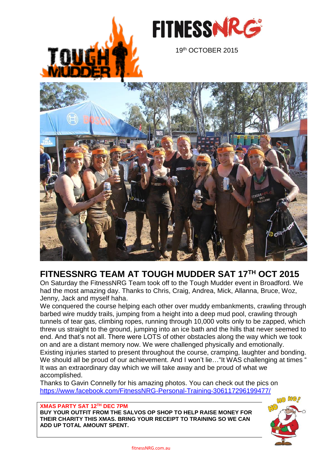



## **FITNESSNRG TEAM AT TOUGH MUDDER SAT 17TH OCT 2015**

On Saturday the FitnessNRG Team took off to the Tough Mudder event in Broadford. We had the most amazing day. Thanks to Chris, Craig, Andrea, Mick, Allanna, Bruce, Woz, Jenny, Jack and myself haha.

We conquered the course helping each other over muddy embankments, crawling through barbed wire muddy trails, jumping from a height into a deep mud pool, crawling through tunnels of tear gas, climbing ropes, running through 10,000 volts only to be zapped, which threw us straight to the ground, jumping into an ice bath and the hills that never seemed to end. And that's not all. There were LOTS of other obstacles along the way which we took on and are a distant memory now. We were challenged physically and emotionally. Existing injuries started to present throughout the course, cramping, laughter and bonding. We should all be proud of our achievement. And I won't lie... "It WAS challenging at times " It was an extraordinary day which we will take away and be proud of what we accomplished.

Thanks to Gavin Connelly for his amazing photos. You can check out the pics on <https://www.facebook.com/FitnessNRG-Personal-Training-306117296199477/>

### **XMAS PARTY SAT 12TH DEC 7PM**

**BUY YOUR OUTFIT FROM THE SALVOS OP SHOP TO HELP RAISE MONEY FOR THEIR CHARITY THIS XMAS. BRING YOUR RECEIPT TO TRAINING SO WE CAN ADD UP TOTAL AMOUNT SPENT.**